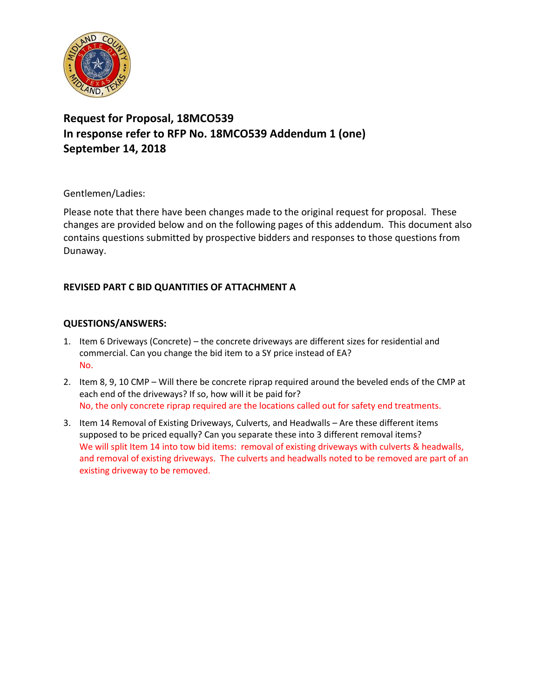

## **Request for Proposal, 18MCO539 In response refer to RFP No. 18MCO539 Addendum 1 (one) September 14, 2018**

Gentlemen/Ladies:

Please note that there have been changes made to the original request for proposal. These changes are provided below and on the following pages of this addendum. This document also contains questions submitted by prospective bidders and responses to those questions from Dunaway.

## **REVISED PART C BID QUANTITIES OF ATTACHMENT A**

## **QUESTIONS/ANSWERS:**

- 1. Item 6 Driveways (Concrete) the concrete driveways are different sizes for residential and commercial. Can you change the bid item to a SY price instead of EA? No.
- 2. Item 8, 9, 10 CMP Will there be concrete riprap required around the beveled ends of the CMP at each end of the driveways? If so, how will it be paid for? No, the only concrete riprap required are the locations called out for safety end treatments.
- 3. Item 14 Removal of Existing Driveways, Culverts, and Headwalls Are these different items supposed to be priced equally? Can you separate these into 3 different removal items? We will split Item 14 into tow bid items: removal of existing driveways with culverts & headwalls, and removal of existing driveways. The culverts and headwalls noted to be removed are part of an existing driveway to be removed.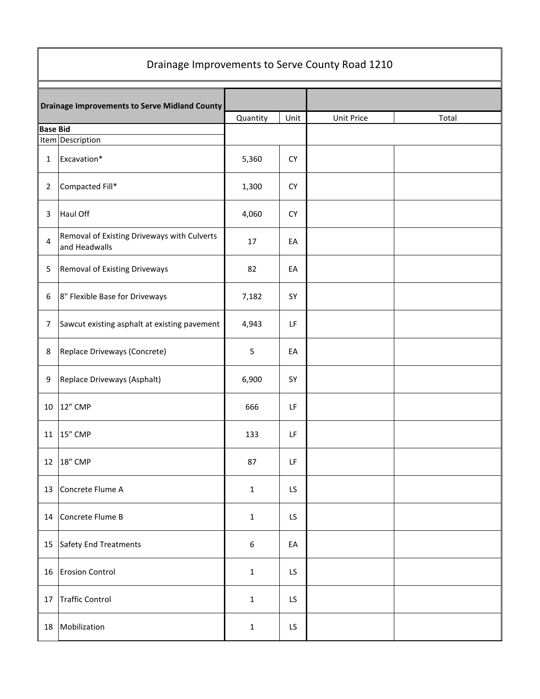| Drainage Improvements to Serve County Road 1210      |                                                              |                  |           |            |       |  |  |
|------------------------------------------------------|--------------------------------------------------------------|------------------|-----------|------------|-------|--|--|
| <b>Drainage Improvements to Serve Midland County</b> |                                                              |                  |           |            |       |  |  |
|                                                      |                                                              | Quantity         | Unit      | Unit Price | Total |  |  |
| <b>Base Bid</b>                                      | Item Description                                             |                  |           |            |       |  |  |
| 1                                                    | Excavation*                                                  | 5,360            | <b>CY</b> |            |       |  |  |
| $\overline{2}$                                       | Compacted Fill*                                              | 1,300            | <b>CY</b> |            |       |  |  |
| 3                                                    | Haul Off                                                     | 4,060            | <b>CY</b> |            |       |  |  |
| 4                                                    | Removal of Existing Driveways with Culverts<br>and Headwalls | 17               | EA        |            |       |  |  |
| 5                                                    | Removal of Existing Driveways                                | 82               | EA        |            |       |  |  |
| 6                                                    | 8" Flexible Base for Driveways                               | 7,182            | SY        |            |       |  |  |
| 7                                                    | Sawcut existing asphalt at existing pavement                 | 4,943            | LF        |            |       |  |  |
| 8                                                    | Replace Driveways (Concrete)                                 | 5                | EA        |            |       |  |  |
| 9                                                    | Replace Driveways (Asphalt)                                  | 6,900            | SY        |            |       |  |  |
|                                                      | 10 12" CMP                                                   | 666              | LF        |            |       |  |  |
| 11                                                   | <b>15" CMP</b>                                               | 133              | LF        |            |       |  |  |
|                                                      | 12 18" CMP                                                   | 87               | LF        |            |       |  |  |
| 13                                                   | Concrete Flume A                                             | $\mathbf{1}$     | LS        |            |       |  |  |
| 14                                                   | Concrete Flume B                                             | $\mathbf{1}$     | LS        |            |       |  |  |
| 15                                                   | Safety End Treatments                                        | $\boldsymbol{6}$ | EA        |            |       |  |  |
| 16                                                   | <b>Erosion Control</b>                                       | $\mathbf{1}$     | LS        |            |       |  |  |
| 17                                                   | <b>Traffic Control</b>                                       | $1\,$            | LS        |            |       |  |  |
| 18                                                   | Mobilization                                                 | $\mathbf{1}$     | LS        |            |       |  |  |